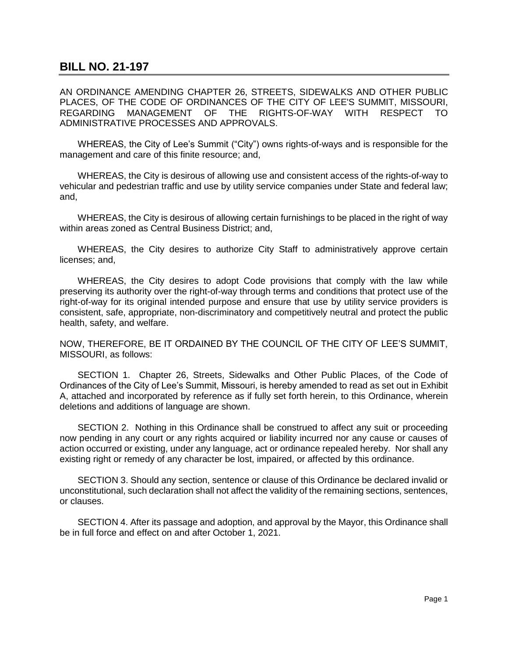## **BILL NO. 21-197**

AN ORDINANCE AMENDING CHAPTER 26, STREETS, SIDEWALKS AND OTHER PUBLIC PLACES, OF THE CODE OF ORDINANCES OF THE CITY OF LEE'S SUMMIT, MISSOURI, REGARDING MANAGEMENT OF THE RIGHTS-OF-WAY WITH RESPECT TO ADMINISTRATIVE PROCESSES AND APPROVALS.

WHEREAS, the City of Lee's Summit ("City") owns rights-of-ways and is responsible for the management and care of this finite resource; and,

WHEREAS, the City is desirous of allowing use and consistent access of the rights-of-way to vehicular and pedestrian traffic and use by utility service companies under State and federal law; and,

WHEREAS, the City is desirous of allowing certain furnishings to be placed in the right of way within areas zoned as Central Business District; and,

WHEREAS, the City desires to authorize City Staff to administratively approve certain licenses; and,

WHEREAS, the City desires to adopt Code provisions that comply with the law while preserving its authority over the right-of-way through terms and conditions that protect use of the right-of-way for its original intended purpose and ensure that use by utility service providers is consistent, safe, appropriate, non-discriminatory and competitively neutral and protect the public health, safety, and welfare.

NOW, THEREFORE, BE IT ORDAINED BY THE COUNCIL OF THE CITY OF LEE'S SUMMIT, MISSOURI, as follows:

SECTION 1. Chapter 26, Streets, Sidewalks and Other Public Places, of the Code of Ordinances of the City of Lee's Summit, Missouri, is hereby amended to read as set out in Exhibit A, attached and incorporated by reference as if fully set forth herein, to this Ordinance, wherein deletions and additions of language are shown.

 SECTION 2. Nothing in this Ordinance shall be construed to affect any suit or proceeding now pending in any court or any rights acquired or liability incurred nor any cause or causes of action occurred or existing, under any language, act or ordinance repealed hereby. Nor shall any existing right or remedy of any character be lost, impaired, or affected by this ordinance.

SECTION 3. Should any section, sentence or clause of this Ordinance be declared invalid or unconstitutional, such declaration shall not affect the validity of the remaining sections, sentences, or clauses.

SECTION 4. After its passage and adoption, and approval by the Mayor, this Ordinance shall be in full force and effect on and after October 1, 2021.